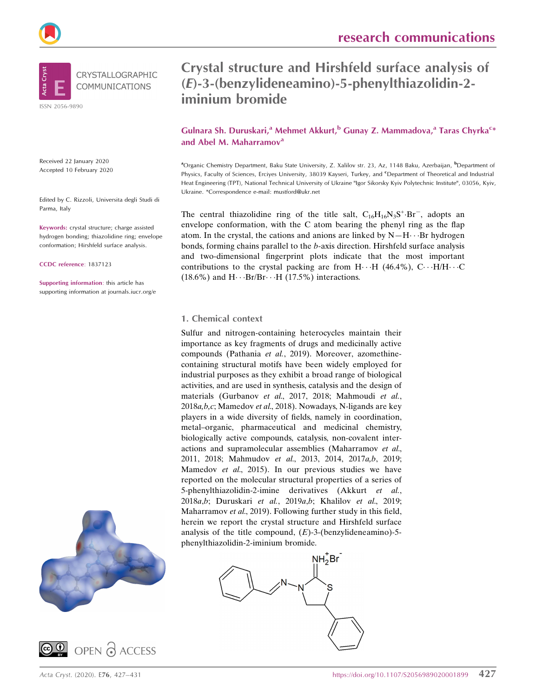



Received 22 January 2020 Accepted 10 February 2020

Edited by C. Rizzoli, Universita degli Studi di Parma, Italy

Keywords: crystal structure; charge assisted hydrogen bonding; thiazolidine ring; envelope conformation; Hirshfeld surface analysis.

CCDC reference: 1837123

Supporting information: this article has supporting information at journals.iucr.org/e





Crystal structure and Hirshfeld surface analysis of (E)-3-(benzylideneamino)-5-phenylthiazolidin-2 iminium bromide

Gulnara Sh. Duruskari,<sup>a</sup> Mehmet Akkurt,<sup>b</sup> Gunay Z. Mammadova,<sup>a</sup> Taras Chyrka<sup>c</sup>\* and Abel M. Maharramov<sup>a</sup>

<sup>a</sup>Organic Chemistry Department, Baku State University, Z. Xalilov str. 23, Az, 1148 Baku, Azerbaijan, <sup>b</sup>Department of Physics, Faculty of Sciences, Erciyes University, 38039 Kayseri, Turkey, and *CDepartment of Theoretical and Industrial* Heat Engineering (TPT), National Technical University of Ukraine "Igor Sikorsky Kyiv Polytechnic Institute", 03056, Kyiv, Ukraine. \*Correspondence e-mail: mustford@ukr.net

The central thiazolidine ring of the title salt,  $C_{16}H_{16}N_3S^+ \cdot Br^-$ , adopts an envelope conformation, with the C atom bearing the phenyl ring as the flap atom. In the crystal, the cations and anions are linked by  $N-H \cdots Br$  hydrogen bonds, forming chains parallel to the b-axis direction. Hirshfeld surface analysis and two-dimensional fingerprint plots indicate that the most important contributions to the crystal packing are from  $H \cdot H$  (46.4%),  $C \cdot H/H \cdot C$  $(18.6\%)$  and  $H \cdots Br/Br \cdots H (17.5\%)$  interactions.

#### 1. Chemical context

Sulfur and nitrogen-containing heterocycles maintain their importance as key fragments of drugs and medicinally active compounds (Pathania et al., 2019). Moreover, azomethinecontaining structural motifs have been widely employed for industrial purposes as they exhibit a broad range of biological activities, and are used in synthesis, catalysis and the design of materials (Gurbanov et al., 2017, 2018; Mahmoudi et al., 2018a,b,c; Mamedov et al., 2018). Nowadays, N-ligands are key players in a wide diversity of fields, namely in coordination, metal–organic, pharmaceutical and medicinal chemistry, biologically active compounds, catalysis, non-covalent interactions and supramolecular assemblies (Maharramov et al., 2011, 2018; Mahmudov et al., 2013, 2014, 2017a,b, 2019; Mamedov et al., 2015). In our previous studies we have reported on the molecular structural properties of a series of 5-phenylthiazolidin-2-imine derivatives (Akkurt et al., 2018a,b; Duruskari et al., 2019a,b; Khalilov et al., 2019; Maharramov et al., 2019). Following further study in this field, herein we report the crystal structure and Hirshfeld surface analysis of the title compound,  $(E)$ -3-(benzylideneamino)-5phenylthiazolidin-2-iminium bromide.

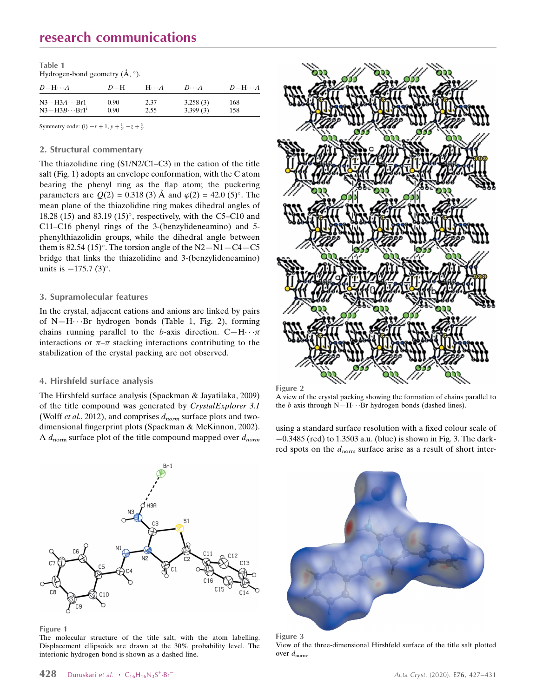## research communications

| Table 1                                   |  |
|-------------------------------------------|--|
| Hydrogen-bond geometry $(\AA, \degree)$ . |  |

| $D$ -H $\cdots$ A                              | $D-H$        | $H\cdot\cdot\cdot A$ | $D \cdot \cdot \cdot A$ | $D-H\cdots A$ |
|------------------------------------------------|--------------|----------------------|-------------------------|---------------|
| $N3-H3A \cdots Br1$<br>$N3 - H3B \cdots Br1^i$ | 0.90<br>0.90 | 2.37<br>2.55         | 3.258(3)<br>3.399(3)    | 168<br>158    |
|                                                |              |                      |                         |               |

Symmetry code: (i)  $-x + 1$ ,  $y + \frac{1}{2}$ ,  $-z + \frac{3}{2}$ .

#### 2. Structural commentary

The thiazolidine ring (S1/N2/C1–C3) in the cation of the title salt (Fig. 1) adopts an envelope conformation, with the C atom bearing the phenyl ring as the flap atom; the puckering parameters are  $Q(2) = 0.318(3)$  Å and  $\varphi(2) = 42.0(5)$ °. The mean plane of the thiazolidine ring makes dihedral angles of 18.28 (15) and 83.19 (15) $^{\circ}$ , respectively, with the C5–C10 and C11–C16 phenyl rings of the 3-(benzylideneamino) and 5 phenylthiazolidin groups, while the dihedral angle between them is 82.54 (15)°. The torsion angle of the  $N2-N1-C4-C5$ bridge that links the thiazolidine and 3-(benzylideneamino) units is  $-175.7$  (3)°.

#### 3. Supramolecular features

In the crystal, adjacent cations and anions are linked by pairs of N—H---Br hydrogen bonds (Table 1, Fig. 2), forming chains running parallel to the b-axis direction.  $C-H \cdots \pi$ interactions or  $\pi-\pi$  stacking interactions contributing to the stabilization of the crystal packing are not observed.

#### 4. Hirshfeld surface analysis

The Hirshfeld surface analysis (Spackman & Jayatilaka, 2009) of the title compound was generated by CrystalExplorer 3.1 (Wolff et al., 2012), and comprises  $d_{norm}$  surface plots and twodimensional fingerprint plots (Spackman & McKinnon, 2002). A  $d_{\text{norm}}$  surface plot of the title compound mapped over  $d_{\text{norm}}$ 





A view of the crystal packing showing the formation of chains parallel to the  $b$  axis through N-H $\cdots$ Br hydrogen bonds (dashed lines).

using a standard surface resolution with a fixed colour scale of  $-0.3485$  (red) to 1.3503 a.u. (blue) is shown in Fig. 3. The darkred spots on the  $d_{\text{norm}}$  surface arise as a result of short inter-



#### Figure 1

The molecular structure of the title salt, with the atom labelling. Displacement ellipsoids are drawn at the 30% probability level. The interionic hydrogen bond is shown as a dashed line.



Figure 3

View of the three-dimensional Hirshfeld surface of the title salt plotted over  $d_{norm}$ .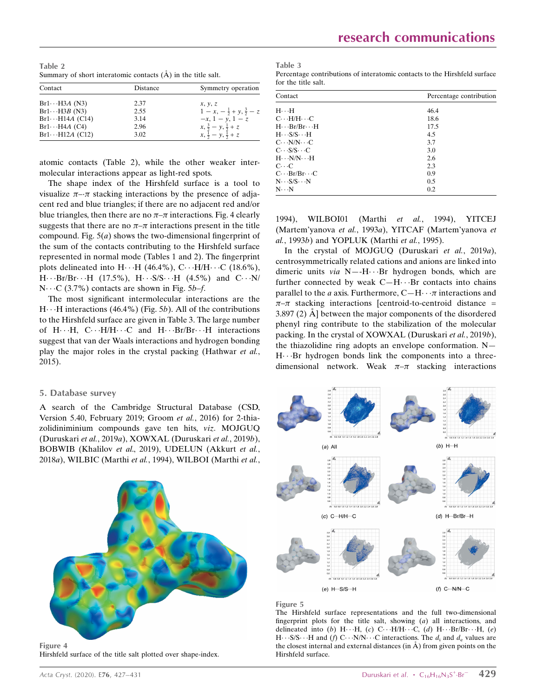Table 2 Summary of short interatomic contacts  $(A)$  in the title salt.

| Contact                 | Distance | Symmetry operation                    |
|-------------------------|----------|---------------------------------------|
| $Br1 \cdots H3A (N3)$   | 2.37     | x, y, z                               |
| $Br1 \cdots H3B$ (N3)   | 2.55     | $1-x, -\frac{1}{2}+y, \frac{3}{2}-z$  |
| $Br1 \cdots H14A$ (C14) | 3.14     | $-x, 1 - y, 1 - z$                    |
| $Br1 \cdots H4A$ (C4)   | 2.96     | $x, \frac{3}{2} - y, \frac{1}{2} + z$ |
| $Br1 \cdots H12A$ (C12) | 3.02     | $x, \frac{1}{2} - y, \frac{1}{2} + z$ |

atomic contacts (Table 2), while the other weaker intermolecular interactions appear as light-red spots.

The shape index of the Hirshfeld surface is a tool to visualize  $\pi$ - $\pi$  stacking interactions by the presence of adjacent red and blue triangles; if there are no adjacent red and/or blue triangles, then there are no  $\pi$ – $\pi$  interactions. Fig. 4 clearly suggests that there are no  $\pi-\pi$  interactions present in the title compound. Fig.  $5(a)$  shows the two-dimensional fingerprint of the sum of the contacts contributing to the Hirshfeld surface represented in normal mode (Tables 1 and 2). The fingerprint plots delineated into  $H \cdot \cdot \cdot H$  (46.4%),  $C \cdot \cdot \cdot H/H \cdot \cdot \cdot C$  (18.6%),  $H \cdots Br/Br \cdots H$  (17.5%),  $H \cdots S/S \cdots H$  (4.5%) and  $C \cdots N/2$  $N \cdots C$  (3.7%) contacts are shown in Fig. 5b–f.

The most significant intermolecular interactions are the  $H \cdot \cdot$  H interactions (46.4%) (Fig. 5b). All of the contributions to the Hirshfeld surface are given in Table 3. The large number of H···H, C···H/H···C and H···Br/Br···H interactions suggest that van der Waals interactions and hydrogen bonding play the major roles in the crystal packing (Hathwar et al., 2015).

#### 5. Database survey

A search of the Cambridge Structural Database (CSD, Version 5.40, February 2019; Groom et al., 2016) for 2-thiazolidiniminium compounds gave ten hits, viz. MOJGUQ (Duruskari et al., 2019a), XOWXAL (Duruskari et al., 2019b), BOBWIB (Khalilov et al., 2019), UDELUN (Akkurt et al., 2018a), WILBIC (Marthi et al., 1994), WILBOI (Marthi et al.,



Hirshfeld surface of the title salt plotted over shape-index.

Table 3 Percentage contributions of interatomic contacts to the Hirshfeld surface for the title salt.

| Contact                                       | Percentage contribution |
|-----------------------------------------------|-------------------------|
| $H \cdot \cdot \cdot H$                       | 46.4                    |
| $C \cdot H/H \cdot C$                         | 18.6                    |
| $H \cdots Br/Br \cdots H$                     | 17.5                    |
| $H \cdot S/S \cdot H$                         | 4.5                     |
| $C \cdot \cdot N/N \cdot \cdot C$             | 3.7                     |
| $C \cdot S/S \cdot C$                         | 3.0                     |
| $H \cdot \cdot \cdot N/N \cdot \cdot \cdot H$ | 2.6                     |
| $C \cdot C$                                   | 2.3                     |
| $C \cdots Br/Br \cdots C$                     | 0.9                     |
| $N \cdot S/S \cdot N$                         | 0.5                     |
| $N \cdot \cdot N$                             | 0.2                     |

1994), WILBOI01 (Marthi et al., 1994), YITCEJ (Martem'yanova et al., 1993a), YITCAF (Martem'yanova et al., 1993b) and YOPLUK (Marthi et al., 1995).

In the crystal of MOJGUQ (Duruskari et al., 2019a), centrosymmetrically related cations and anions are linked into dimeric units via N--H···Br hydrogen bonds, which are further connected by weak  $C-H\cdots$ Br contacts into chains parallel to the *a* axis. Furthermore,  $C-H \cdots \pi$  interactions and  $\pi-\pi$  stacking interactions [centroid-to-centroid distance =  $3.897(2)$  Å between the major components of the disordered phenyl ring contribute to the stabilization of the molecular packing. In the crystal of XOWXAL (Duruskari et al., 2019b), the thiazolidine ring adopts an envelope conformation. N— H---Br hydrogen bonds link the components into a threedimensional network. Weak  $\pi-\pi$  stacking interactions



Figure 5

The Hirshfeld surface representations and the full two-dimensional fingerprint plots for the title salt, showing  $(a)$  all interactions, and delineated into (b)  $H \cdots H$ , (c)  $C \cdots H/H \cdots C$ , (d)  $H \cdots Br/Br \cdots H$ , (e)  $H \cdots S/S \cdots H$  and (f)  $C \cdots N/N \cdots C$  interactions. The  $d_i$  and  $d_e$  values are the closest internal and external distances (in  $\AA$ ) from given points on the Hirshfeld surface.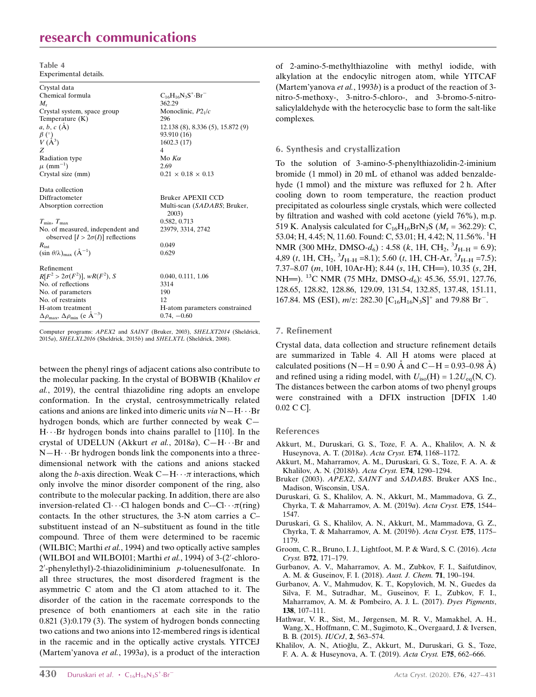## research communications

Table 4 Experimental details.

| Crystal data                                                               |                                 |
|----------------------------------------------------------------------------|---------------------------------|
| Chemical formula                                                           | $C_{16}H_{16}N_3S^+ \cdot Br^-$ |
| $M_{\rm r}$                                                                | 362.29                          |
| Crystal system, space group                                                | Monoclinic, $P21/c$             |
| Temperature $(K)$                                                          | 296                             |
| $a, b, c (\AA)$                                                            | 12.138(8), 8.336(5), 15.872(9)  |
|                                                                            | 93.910 (16)                     |
| $\frac{\beta}{V}$ (A <sup>3</sup> )                                        | 1602.3(17)                      |
| Z                                                                          | 4                               |
| Radiation type                                                             | Mo $K\alpha$                    |
| $\mu$ (mm <sup>-1</sup> )                                                  | 2.69                            |
| Crystal size (mm)                                                          | $0.21 \times 0.18 \times 0.13$  |
|                                                                            |                                 |
| Data collection                                                            |                                 |
| Diffractometer                                                             | Bruker APEXII CCD               |
| Absorption correction                                                      | Multi-scan (SADABS; Bruker,     |
|                                                                            | 2003)                           |
| $T_{\rm min}, T_{\rm max}$                                                 | 0.582, 0.713                    |
| No. of measured, independent and                                           | 23979, 3314, 2742               |
| observed $[I > 2\sigma(I)]$ reflections                                    |                                 |
| $R_{\rm int}$                                                              | 0.049                           |
| $(\sin \theta/\lambda)_{\text{max}}$ $(\text{Å}^{-1})$                     | 0.629                           |
|                                                                            |                                 |
| Refinement                                                                 |                                 |
| $R[F^2 > 2\sigma(F^2)], wR(F^2), S$                                        | 0.040, 0.111, 1.06              |
| No. of reflections                                                         | 3314                            |
| No. of parameters                                                          | 190                             |
| No. of restraints                                                          | 12                              |
| H-atom treatment                                                           | H-atom parameters constrained   |
| $\Delta\rho_{\text{max}}$ , $\Delta\rho_{\text{min}}$ (e Å <sup>-3</sup> ) | $0.74, -0.60$                   |

Computer programs: APEX2 and SAINT (Bruker, 2003), SHELXT2014 (Sheldrick, 2015a), SHELXL2016 (Sheldrick, 2015b) and SHELXTL (Sheldrick, 2008).

between the phenyl rings of adjacent cations also contribute to the molecular packing. In the crystal of BOBWIB (Khalilov et al., 2019), the central thiazolidine ring adopts an envelope conformation. In the crystal, centrosymmetrically related cations and anions are linked into dimeric units  $via N-H\cdots Br$ hydrogen bonds, which are further connected by weak C— H---Br hydrogen bonds into chains parallel to [110]. In the crystal of UDELUN (Akkurt et al., 2018a), C-H···Br and  $N-H\cdots$ Br hydrogen bonds link the components into a threedimensional network with the cations and anions stacked along the b-axis direction. Weak  $C-H \cdot \cdot \pi$  interactions, which only involve the minor disorder component of the ring, also contribute to the molecular packing. In addition, there are also inversion-related Cl···Cl halogen bonds and C--Cl·· $\pi$ (ring) contacts. In the other structures, the 3-N atom carries a C– substituent instead of an N–substituent as found in the title compound. Three of them were determined to be racemic (WILBIC; Marthi et al., 1994) and two optically active samples (WILBOI and WILBOI01; Marthi et al., 1994) of 3-(2'-chloro- $2'$ -phenylethyl)-2-thiazolidiniminium p-toluenesulfonate. In all three structures, the most disordered fragment is the asymmetric C atom and the Cl atom attached to it. The disorder of the cation in the racemate corresponds to the presence of both enantiomers at each site in the ratio 0.821 (3):0.179 (3). The system of hydrogen bonds connecting two cations and two anions into 12-membered rings is identical in the racemic and in the optically active crystals. YITCEJ (Martem'yanova et al., 1993a), is a product of the interaction

of 2-amino-5-methylthiazoline with methyl iodide, with alkylation at the endocylic nitrogen atom, while YITCAF (Martem'yanova et al., 1993b) is a product of the reaction of 3nitro-5-methoxy-, 3-nitro-5-chloro-, and 3-bromo-5-nitrosalicylaldehyde with the heterocyclic base to form the salt-like complexes.

#### 6. Synthesis and crystallization

To the solution of 3-amino-5-phenylthiazolidin-2-iminium bromide (1 mmol) in 20 mL of ethanol was added benzaldehyde (1 mmol) and the mixture was refluxed for 2 h. After cooling down to room temperature, the reaction product precipitated as colourless single crystals, which were collected by filtration and washed with cold acetone (yield 76%), m.p. 519 K. Analysis calculated for  $C_{16}H_{16}BrN_3S$  ( $M_r = 362.29$ ): C, 53.04; H, 4.45; N, 11.60. Found: C, 53.01; H, 4.42; N, 11.56%. <sup>1</sup>H NMR (300 MHz, DMSO- $d_6$ ) : 4.58 (k, 1H, CH<sub>2</sub>, <sup>3</sup>J<sub>H-H</sub> = 6.9); 4,89 (*t*, 1H, CH<sub>2</sub>,  ${}^{3}J_{\text{H-H}}$  =8.1); 5.60 (*t*, 1H, CH-Ar,  ${}^{3}J_{\text{H-H}}$  =7.5); 7.37–8.07 (m, 10H, 10Ar-H); 8.44 (s, 1H, CH=), 10.35 (s, 2H, NH=). <sup>13</sup>C NMR (75 MHz, DMSO- $d_6$ ): 45.36, 55.91, 127.76, 128.65, 128.82, 128.86, 129.09, 131.54, 132.85, 137.48, 151.11, 167.84. MS (ESI),  $m/z$ : 282.30  $[C_{16}H_{16}N_3S]^+$  and 79.88 Br<sup>-</sup>.

#### 7. Refinement

Crystal data, data collection and structure refinement details are summarized in Table 4. All H atoms were placed at calculated positions (N—H = 0.90 Å and C—H = 0.93–0.98 Å) and refined using a riding model, with  $U_{iso}(H) = 1.2U_{eq}(N, C)$ . The distances between the carbon atoms of two phenyl groups were constrained with a DFIX instruction [DFIX 1.40 0.02 C C].

#### References

- [Akkurt, M., Duruskari, G. S., Toze, F. A. A., Khalilov, A. N. &](http://scripts.iucr.org/cgi-bin/cr.cgi?rm=pdfbb&cnor=rz5269&bbid=BB1) [Huseynova, A. T. \(2018](http://scripts.iucr.org/cgi-bin/cr.cgi?rm=pdfbb&cnor=rz5269&bbid=BB1)a). Acta Cryst. E74, 1168–1172.
- [Akkurt, M., Maharramov, A. M., Duruskari, G. S., Toze, F. A. A. &](http://scripts.iucr.org/cgi-bin/cr.cgi?rm=pdfbb&cnor=rz5269&bbid=BB2) [Khalilov, A. N. \(2018](http://scripts.iucr.org/cgi-bin/cr.cgi?rm=pdfbb&cnor=rz5269&bbid=BB2)b). Acta Cryst. E74, 1290–1294.
- Bruker (2003). APEX2, SAINT and SADABS[. Bruker AXS Inc.,](http://scripts.iucr.org/cgi-bin/cr.cgi?rm=pdfbb&cnor=rz5269&bbid=BB3) [Madison, Wisconsin, USA.](http://scripts.iucr.org/cgi-bin/cr.cgi?rm=pdfbb&cnor=rz5269&bbid=BB3)
- [Duruskari, G. S., Khalilov, A. N., Akkurt, M., Mammadova, G. Z.,](http://scripts.iucr.org/cgi-bin/cr.cgi?rm=pdfbb&cnor=rz5269&bbid=BB4) [Chyrka, T. & Maharramov, A. M. \(2019](http://scripts.iucr.org/cgi-bin/cr.cgi?rm=pdfbb&cnor=rz5269&bbid=BB4)a). Acta Cryst. E75, 1544– [1547.](http://scripts.iucr.org/cgi-bin/cr.cgi?rm=pdfbb&cnor=rz5269&bbid=BB4)
- [Duruskari, G. S., Khalilov, A. N., Akkurt, M., Mammadova, G. Z.,](http://scripts.iucr.org/cgi-bin/cr.cgi?rm=pdfbb&cnor=rz5269&bbid=BB5) [Chyrka, T. & Maharramov, A. M. \(2019](http://scripts.iucr.org/cgi-bin/cr.cgi?rm=pdfbb&cnor=rz5269&bbid=BB5)b). Acta Cryst. E75, 1175– [1179.](http://scripts.iucr.org/cgi-bin/cr.cgi?rm=pdfbb&cnor=rz5269&bbid=BB5)
- [Groom, C. R., Bruno, I. J., Lightfoot, M. P. & Ward, S. C. \(2016\).](http://scripts.iucr.org/cgi-bin/cr.cgi?rm=pdfbb&cnor=rz5269&bbid=BB6) Acta Cryst. B72[, 171–179.](http://scripts.iucr.org/cgi-bin/cr.cgi?rm=pdfbb&cnor=rz5269&bbid=BB6)
- [Gurbanov, A. V., Maharramov, A. M., Zubkov, F. I., Saifutdinov,](http://scripts.iucr.org/cgi-bin/cr.cgi?rm=pdfbb&cnor=rz5269&bbid=BB7) [A. M. & Guseinov, F. I. \(2018\).](http://scripts.iucr.org/cgi-bin/cr.cgi?rm=pdfbb&cnor=rz5269&bbid=BB7) Aust. J. Chem. 71, 190–194.
- [Gurbanov, A. V., Mahmudov, K. T., Kopylovich, M. N., Guedes da](http://scripts.iucr.org/cgi-bin/cr.cgi?rm=pdfbb&cnor=rz5269&bbid=BB8) [Silva, F. M., Sutradhar, M., Guseinov, F. I., Zubkov, F. I.,](http://scripts.iucr.org/cgi-bin/cr.cgi?rm=pdfbb&cnor=rz5269&bbid=BB8) [Maharramov, A. M. & Pombeiro, A. J. L. \(2017\).](http://scripts.iucr.org/cgi-bin/cr.cgi?rm=pdfbb&cnor=rz5269&bbid=BB8) Dyes Pigments, 138[, 107–111.](http://scripts.iucr.org/cgi-bin/cr.cgi?rm=pdfbb&cnor=rz5269&bbid=BB8)
- [Hathwar, V. R., Sist, M., Jørgensen, M. R. V., Mamakhel, A. H.,](http://scripts.iucr.org/cgi-bin/cr.cgi?rm=pdfbb&cnor=rz5269&bbid=BB9) [Wang, X., Hoffmann, C. M., Sugimoto, K., Overgaard, J. & Iversen,](http://scripts.iucr.org/cgi-bin/cr.cgi?rm=pdfbb&cnor=rz5269&bbid=BB9) [B. B. \(2015\).](http://scripts.iucr.org/cgi-bin/cr.cgi?rm=pdfbb&cnor=rz5269&bbid=BB9) IUCrJ, 2, 563–574.
- Khalilov, A. N., Atioğlu, Z., Akkurt, M., Duruskari, G. S., Toze, [F. A. A. & Huseynova, A. T. \(2019\).](http://scripts.iucr.org/cgi-bin/cr.cgi?rm=pdfbb&cnor=rz5269&bbid=BB10) Acta Cryst. E75, 662–666.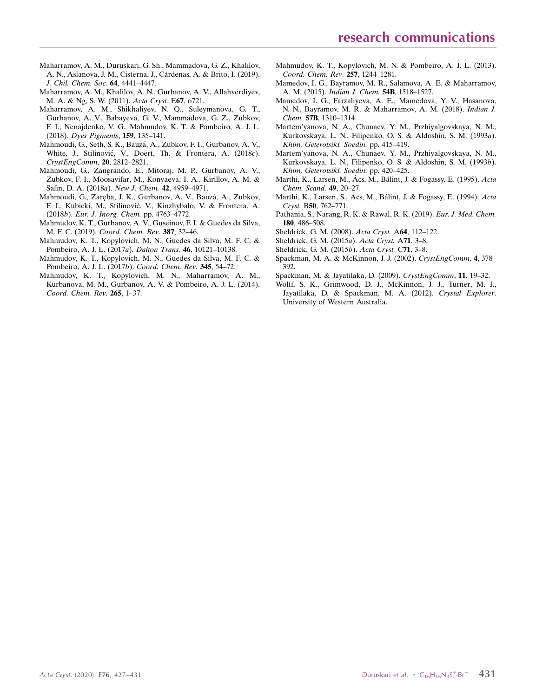- [Maharramov, A. M., Duruskari, G. Sh., Mammadova, G. Z., Khalilov,](http://scripts.iucr.org/cgi-bin/cr.cgi?rm=pdfbb&cnor=rz5269&bbid=BB34) A. N., Aslanova, J. M., Cisterna, J., Cárdenas, A. & Brito, I. (2019). [J. Chil. Chem. Soc.](http://scripts.iucr.org/cgi-bin/cr.cgi?rm=pdfbb&cnor=rz5269&bbid=BB34) 64, 4441–4447.
- [Maharramov, A. M., Khalilov, A. N., Gurbanov, A. V., Allahverdiyev,](http://scripts.iucr.org/cgi-bin/cr.cgi?rm=pdfbb&cnor=rz5269&bbid=BB12) [M. A. & Ng, S. W. \(2011\).](http://scripts.iucr.org/cgi-bin/cr.cgi?rm=pdfbb&cnor=rz5269&bbid=BB12) Acta Cryst. E67, o721.
- [Maharramov, A. M., Shikhaliyev, N. Q., Suleymanova, G. T.,](http://scripts.iucr.org/cgi-bin/cr.cgi?rm=pdfbb&cnor=rz5269&bbid=BB13) [Gurbanov, A. V., Babayeva, G. V., Mammadova, G. Z., Zubkov,](http://scripts.iucr.org/cgi-bin/cr.cgi?rm=pdfbb&cnor=rz5269&bbid=BB13) [F. I., Nenajdenko, V. G., Mahmudov, K. T. & Pombeiro, A. J. L.](http://scripts.iucr.org/cgi-bin/cr.cgi?rm=pdfbb&cnor=rz5269&bbid=BB13) (2018). [Dyes Pigments](http://scripts.iucr.org/cgi-bin/cr.cgi?rm=pdfbb&cnor=rz5269&bbid=BB13), 159, 135–141.
- [Mahmoudi, G., Seth, S. K., Bauza´, A., Zubkov, F. I., Gurbanov, A. V.,](http://scripts.iucr.org/cgi-bin/cr.cgi?rm=pdfbb&cnor=rz5269&bbid=BB14) White, J., Stilinović, V., Doert, Th. & Frontera, A. (2018c). [CrystEngComm](http://scripts.iucr.org/cgi-bin/cr.cgi?rm=pdfbb&cnor=rz5269&bbid=BB14), 20, 2812–2821.
- [Mahmoudi, G., Zangrando, E., Mitoraj, M. P., Gurbanov, A. V.,](http://scripts.iucr.org/cgi-bin/cr.cgi?rm=pdfbb&cnor=rz5269&bbid=BB15) [Zubkov, F. I., Moosavifar, M., Konyaeva, I. A., Kirillov, A. M. &](http://scripts.iucr.org/cgi-bin/cr.cgi?rm=pdfbb&cnor=rz5269&bbid=BB15) [Safin, D. A. \(2018](http://scripts.iucr.org/cgi-bin/cr.cgi?rm=pdfbb&cnor=rz5269&bbid=BB15)a). New J. Chem. 42, 4959–4971.
- Mahmoudi, G., Zaręba, J. K., Gurbanov, A. V., Bauzá, A., Zubkov, F. I., Kubicki, M., Stilinović, V., Kinzhybalo, V. & Frontera, A. (2018b). [Eur. J. Inorg. Chem.](http://scripts.iucr.org/cgi-bin/cr.cgi?rm=pdfbb&cnor=rz5269&bbid=BB16) pp. 4763–4772.
- [Mahmudov, K. T., Gurbanov, A. V., Guseinov, F. I. & Guedes da Silva,](http://scripts.iucr.org/cgi-bin/cr.cgi?rm=pdfbb&cnor=rz5269&bbid=BB17) M. F. C. (2019). [Coord. Chem. Rev.](http://scripts.iucr.org/cgi-bin/cr.cgi?rm=pdfbb&cnor=rz5269&bbid=BB17) 387, 32–46.
- [Mahmudov, K. T., Kopylovich, M. N., Guedes da Silva, M. F. C. &](http://scripts.iucr.org/cgi-bin/cr.cgi?rm=pdfbb&cnor=rz5269&bbid=BB18) [Pombeiro, A. J. L. \(2017](http://scripts.iucr.org/cgi-bin/cr.cgi?rm=pdfbb&cnor=rz5269&bbid=BB18)a). Dalton Trans. 46, 10121–10138.
- [Mahmudov, K. T., Kopylovich, M. N., Guedes da Silva, M. F. C. &](http://scripts.iucr.org/cgi-bin/cr.cgi?rm=pdfbb&cnor=rz5269&bbid=BB19) [Pombeiro, A. J. L. \(2017](http://scripts.iucr.org/cgi-bin/cr.cgi?rm=pdfbb&cnor=rz5269&bbid=BB19)b). Coord. Chem. Rev. 345, 54–72.
- [Mahmudov, K. T., Kopylovich, M. N., Maharramov, A. M.,](http://scripts.iucr.org/cgi-bin/cr.cgi?rm=pdfbb&cnor=rz5269&bbid=BB20) [Kurbanova, M. M., Gurbanov, A. V. & Pombeiro, A. J. L. \(2014\).](http://scripts.iucr.org/cgi-bin/cr.cgi?rm=pdfbb&cnor=rz5269&bbid=BB20) [Coord. Chem. Rev.](http://scripts.iucr.org/cgi-bin/cr.cgi?rm=pdfbb&cnor=rz5269&bbid=BB20) 265, 1–37.
- [Mahmudov, K. T., Kopylovich, M. N. & Pombeiro, A. J. L. \(2013\).](http://scripts.iucr.org/cgi-bin/cr.cgi?rm=pdfbb&cnor=rz5269&bbid=BB21) [Coord. Chem. Rev.](http://scripts.iucr.org/cgi-bin/cr.cgi?rm=pdfbb&cnor=rz5269&bbid=BB21) 257, 1244–1281.
- [Mamedov, I. G., Bayramov, M. R., Salamova, A. E. & Maharramov,](http://scripts.iucr.org/cgi-bin/cr.cgi?rm=pdfbb&cnor=rz5269&bbid=BB22) A. M. (2015). [Indian J. Chem.](http://scripts.iucr.org/cgi-bin/cr.cgi?rm=pdfbb&cnor=rz5269&bbid=BB22) 54B, 1518-1527.
- [Mamedov, I. G., Farzaliyeva, A. E., Mamedova, Y. V., Hasanova,](http://scripts.iucr.org/cgi-bin/cr.cgi?rm=pdfbb&cnor=rz5269&bbid=BB23) [N. N., Bayramov, M. R. & Maharramov, A. M. \(2018\).](http://scripts.iucr.org/cgi-bin/cr.cgi?rm=pdfbb&cnor=rz5269&bbid=BB23) Indian J. Chem. 57B[, 1310–1314.](http://scripts.iucr.org/cgi-bin/cr.cgi?rm=pdfbb&cnor=rz5269&bbid=BB23)
- [Martem'yanova, N. A., Chunaev, Y. M., Przhiyalgovskaya, N. M.,](http://scripts.iucr.org/cgi-bin/cr.cgi?rm=pdfbb&cnor=rz5269&bbid=BB24) [Kurkovskaya, L. N., Filipenko, O. S. & Aldoshin, S. M. \(1993](http://scripts.iucr.org/cgi-bin/cr.cgi?rm=pdfbb&cnor=rz5269&bbid=BB24)a). [Khim. Geterotsikl. Soedin.](http://scripts.iucr.org/cgi-bin/cr.cgi?rm=pdfbb&cnor=rz5269&bbid=BB24) pp. 415–419.
- [Martem'yanova, N. A., Chunaev, Y. M., Przhiyalgovskaya, N. M.,](http://scripts.iucr.org/cgi-bin/cr.cgi?rm=pdfbb&cnor=rz5269&bbid=BB25) [Kurkovskaya, L. N., Filipenko, O. S. & Aldoshin, S. M. \(1993](http://scripts.iucr.org/cgi-bin/cr.cgi?rm=pdfbb&cnor=rz5269&bbid=BB25)b). [Khim. Geterotsikl. Soedin.](http://scripts.iucr.org/cgi-bin/cr.cgi?rm=pdfbb&cnor=rz5269&bbid=BB25) pp. 420–425.
- Marthi, K., Larsen, M., Ács, M., Bálint, J. & Fogassy, E. (1995). Acta [Chem. Scand.](http://scripts.iucr.org/cgi-bin/cr.cgi?rm=pdfbb&cnor=rz5269&bbid=BB26) 49, 20–27.
- Marthi, K., Larsen, S., Ács, M., Bálint, J. & Fogassy, E. (1994). Acta Cryst. B50[, 762–771.](http://scripts.iucr.org/cgi-bin/cr.cgi?rm=pdfbb&cnor=rz5269&bbid=BB27)
- [Pathania, S., Narang, R. K. & Rawal, R. K. \(2019\).](http://scripts.iucr.org/cgi-bin/cr.cgi?rm=pdfbb&cnor=rz5269&bbid=BB28) Eur. J. Med. Chem. 180[, 486–508.](http://scripts.iucr.org/cgi-bin/cr.cgi?rm=pdfbb&cnor=rz5269&bbid=BB28)
- [Sheldrick, G. M. \(2008\).](http://scripts.iucr.org/cgi-bin/cr.cgi?rm=pdfbb&cnor=rz5269&bbid=BB29) Acta Cryst. A64, 112–122.
- [Sheldrick, G. M. \(2015](http://scripts.iucr.org/cgi-bin/cr.cgi?rm=pdfbb&cnor=rz5269&bbid=BB30)a). Acta Cryst. A71, 3–8.
- [Sheldrick, G. M. \(2015](http://scripts.iucr.org/cgi-bin/cr.cgi?rm=pdfbb&cnor=rz5269&bbid=BB31)b). Acta Cryst. C71, 3–8.
- [Spackman, M. A. & McKinnon, J. J. \(2002\).](http://scripts.iucr.org/cgi-bin/cr.cgi?rm=pdfbb&cnor=rz5269&bbid=BB32) CrystEngComm, 4, 378– [392.](http://scripts.iucr.org/cgi-bin/cr.cgi?rm=pdfbb&cnor=rz5269&bbid=BB32)
- [Spackman, M. & Jayatilaka, D. \(2009\).](http://scripts.iucr.org/cgi-bin/cr.cgi?rm=pdfbb&cnor=rz5269&bbid=BB33) CrystEngComm, 11, 19–32.
- [Wolff, S. K., Grimwood, D. J., McKinnon, J. J., Turner, M. J.,](http://scripts.iucr.org/cgi-bin/cr.cgi?rm=pdfbb&cnor=rz5269&bbid=BB34) [Jayatilaka, D. & Spackman, M. A. \(2012\).](http://scripts.iucr.org/cgi-bin/cr.cgi?rm=pdfbb&cnor=rz5269&bbid=BB34) Crystal Explorer. [University of Western Australia.](http://scripts.iucr.org/cgi-bin/cr.cgi?rm=pdfbb&cnor=rz5269&bbid=BB34)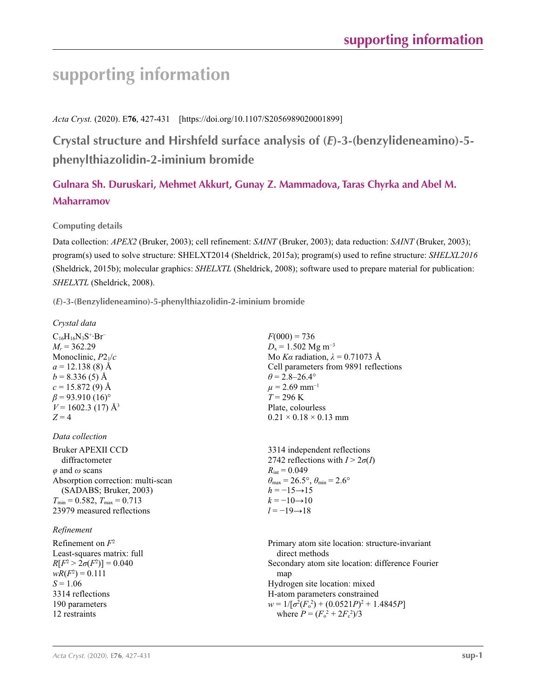# **supporting information**

*Acta Cryst.* (2020). E**76**, 427-431 [https://doi.org/10.1107/S2056989020001899]

**Crystal structure and Hirshfeld surface analysis of (***E***)-3-(benzylideneamino)-5 phenylthiazolidin-2-iminium bromide**

## **Gulnara Sh. Duruskari, Mehmet Akkurt, Gunay Z. Mammadova, Taras Chyrka and Abel M. Maharramov**

### **Computing details**

Data collection: *APEX2* (Bruker, 2003); cell refinement: *SAINT* (Bruker, 2003); data reduction: *SAINT* (Bruker, 2003); program(s) used to solve structure: SHELXT2014 (Sheldrick, 2015a); program(s) used to refine structure: *SHELXL2016* (Sheldrick, 2015b); molecular graphics: *SHELXTL* (Sheldrick, 2008); software used to prepare material for publication: *SHELXTL* (Sheldrick, 2008).

**(***E***)-3-(Benzylideneamino)-5-phenylthiazolidin-2-iminium bromide** 

*Crystal data*

 $C_{16}H_{16}N_3S^+·Br^ M_r = 362.29$ Monoclinic, *P*21/*c*  $a = 12.138(8)$  Å  $b = 8.336(5)$  Å  $c = 15.872(9)$  Å  $\beta$  = 93.910 (16)<sup>o</sup>  $V = 1602.3$  (17) Å<sup>3</sup>  $Z = 4$ 

*Data collection*

Bruker APEXII CCD diffractometer *φ* and *ω* scans Absorption correction: multi-scan (SADABS; Bruker, 2003)  $T_{\text{min}} = 0.582, T_{\text{max}} = 0.713$ 23979 measured reflections

### *Refinement*

Refinement on *F*<sup>2</sup> Least-squares matrix: full *R*[ $F^2 > 2\sigma(F^2)$ ] = 0.040  $wR(F^2) = 0.111$  $S = 1.06$ 3314 reflections 190 parameters 12 restraints

 $F(000) = 736$  $D_x = 1.502$  Mg m<sup>-3</sup> Mo *Kα* radiation,  $\lambda = 0.71073$  Å Cell parameters from 9891 reflections  $\theta$  = 2.8–26.4°  $\mu$  = 2.69 mm<sup>-1</sup>  $T = 296 K$ Plate, colourless  $0.21 \times 0.18 \times 0.13$  mm

3314 independent reflections 2742 reflections with  $I > 2\sigma(I)$  $R_{\text{int}} = 0.049$  $\theta_{\text{max}} = 26.5^{\circ}, \theta_{\text{min}} = 2.6^{\circ}$  $h = -15 \rightarrow 15$  $k = -10 \rightarrow 10$ *l* = −19→18

Primary atom site location: structure-invariant direct methods Secondary atom site location: difference Fourier map Hydrogen site location: mixed H-atom parameters constrained  $w = 1/[\sigma^2 (F_o^2) + (0.0521P)^2 + 1.4845P]$ where  $P = (F_o^2 + 2F_c^2)/3$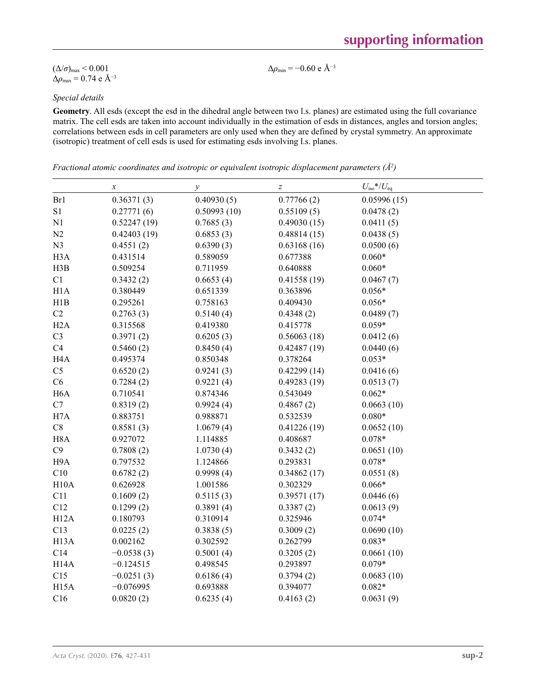#### *Acta Cryst.* (2020). E**76**, 427-431 **sup-2**

|  |  | supporting information |  |
|--|--|------------------------|--|
|  |  |                        |  |

 $(\Delta/\sigma)_{\text{max}}$  < 0.001  $Δρ<sub>max</sub> = 0.74 e Å<sup>-3</sup>$ 

# *Special details*

**Geometry**. All esds (except the esd in the dihedral angle between two l.s. planes) are estimated using the full covariance matrix. The cell esds are taken into account individually in the estimation of esds in distances, angles and torsion angles; correlations between esds in cell parameters are only used when they are defined by crystal symmetry. An approximate (isotropic) treatment of cell esds is used for estimating esds involving l.s. planes.

 $\Delta\rho_{\text{min}}$  = −0.60 e Å<sup>-3</sup>

*Fractional atomic coordinates and isotropic or equivalent isotropic displacement parameters (Å<sup>2</sup>)* 

|                            | $\boldsymbol{x}$ | $\mathcal{Y}$ | $\boldsymbol{Z}$ | $U_{\rm iso}$ */ $U_{\rm eq}$ |
|----------------------------|------------------|---------------|------------------|-------------------------------|
| Br1                        | 0.36371(3)       | 0.40930(5)    | 0.77766(2)       | 0.05996(15)                   |
| S1                         | 0.27771(6)       | 0.50993(10)   | 0.55109(5)       | 0.0478(2)                     |
| N1                         | 0.52247(19)      | 0.7685(3)     | 0.49030(15)      | 0.0411(5)                     |
| N2                         | 0.42403(19)      | 0.6853(3)     | 0.48814(15)      | 0.0438(5)                     |
| N <sub>3</sub>             | 0.4551(2)        | 0.6390(3)     | 0.63168(16)      | 0.0500(6)                     |
| H <sub>3</sub> A           | 0.431514         | 0.589059      | 0.677388         | $0.060*$                      |
| H3B                        | 0.509254         | 0.711959      | 0.640888         | $0.060*$                      |
| $\mathop{\rm C}\nolimits1$ | 0.3432(2)        | 0.6653(4)     | 0.41558(19)      | 0.0467(7)                     |
| H1A                        | 0.380449         | 0.651339      | 0.363896         | $0.056*$                      |
| H1B                        | 0.295261         | 0.758163      | 0.409430         | $0.056*$                      |
| $\rm{C2}$                  | 0.2763(3)        | 0.5140(4)     | 0.4348(2)        | 0.0489(7)                     |
| H2A                        | 0.315568         | 0.419380      | 0.415778         | $0.059*$                      |
| C <sub>3</sub>             | 0.3971(2)        | 0.6205(3)     | 0.56063(18)      | 0.0412(6)                     |
| C4                         | 0.5460(2)        | 0.8450(4)     | 0.42487(19)      | 0.0440(6)                     |
| H <sub>4</sub> A           | 0.495374         | 0.850348      | 0.378264         | $0.053*$                      |
| C <sub>5</sub>             | 0.6520(2)        | 0.9241(3)     | 0.42299(14)      | 0.0416(6)                     |
| C6                         | 0.7284(2)        | 0.9221(4)     | 0.49283(19)      | 0.0513(7)                     |
| H <sub>6</sub> A           | 0.710541         | 0.874346      | 0.543049         | $0.062*$                      |
| C7                         | 0.8319(2)        | 0.9924(4)     | 0.4867(2)        | 0.0663(10)                    |
| H7A                        | 0.883751         | 0.988871      | 0.532539         | $0.080*$                      |
| C8                         | 0.8581(3)        | 1.0679(4)     | 0.41226(19)      | 0.0652(10)                    |
| H <sub>8</sub> A           | 0.927072         | 1.114885      | 0.408687         | $0.078*$                      |
| C9                         | 0.7808(2)        | 1.0730(4)     | 0.3432(2)        | 0.0651(10)                    |
| H9A                        | 0.797532         | 1.124866      | 0.293831         | $0.078*$                      |
| C10                        | 0.6782(2)        | 0.9998(4)     | 0.34862(17)      | 0.0551(8)                     |
| H10A                       | 0.626928         | 1.001586      | 0.302329         | $0.066*$                      |
| C11                        | 0.1609(2)        | 0.5115(3)     | 0.39571(17)      | 0.0446(6)                     |
| C12                        | 0.1299(2)        | 0.3891(4)     | 0.3387(2)        | 0.0613(9)                     |
| H12A                       | 0.180793         | 0.310914      | 0.325946         | $0.074*$                      |
| C13                        | 0.0225(2)        | 0.3838(5)     | 0.3009(2)        | 0.0690(10)                    |
| H <sub>13</sub> A          | 0.002162         | 0.302592      | 0.262799         | $0.083*$                      |
| C14                        | $-0.0538(3)$     | 0.5001(4)     | 0.3205(2)        | 0.0661(10)                    |
| H <sub>14</sub> A          | $-0.124515$      | 0.498545      | 0.293897         | $0.079*$                      |
| C15                        | $-0.0251(3)$     | 0.6186(4)     | 0.3794(2)        | 0.0683(10)                    |
| H <sub>15</sub> A          | $-0.076995$      | 0.693888      | 0.394077         | $0.082*$                      |
| C16                        | 0.0820(2)        | 0.6235(4)     | 0.4163(2)        | 0.0631(9)                     |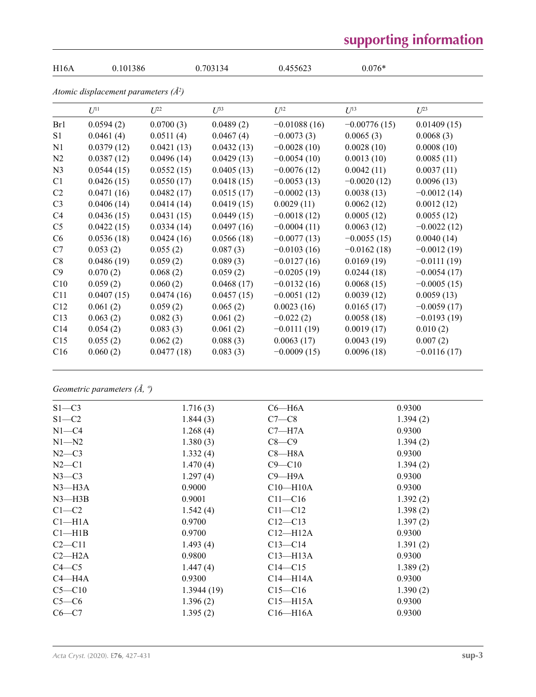# **supporting information**

| H16A           | 0.101386                                 |            | 0.703134   | 0.455623       | $0.076*$       |               |
|----------------|------------------------------------------|------------|------------|----------------|----------------|---------------|
|                | Atomic displacement parameters $(\AA^2)$ |            |            |                |                |               |
|                | $U^{11}$                                 | $U^{22}$   | $U^{33}$   | $U^{12}$       | $U^{13}$       | $U^{23}$      |
| Br1            | 0.0594(2)                                | 0.0700(3)  | 0.0489(2)  | $-0.01088(16)$ | $-0.00776(15)$ | 0.01409(15)   |
| S1             | 0.0461(4)                                | 0.0511(4)  | 0.0467(4)  | $-0.0073(3)$   | 0.0065(3)      | 0.0068(3)     |
| N1             | 0.0379(12)                               | 0.0421(13) | 0.0432(13) | $-0.0028(10)$  | 0.0028(10)     | 0.0008(10)    |
| N2             | 0.0387(12)                               | 0.0496(14) | 0.0429(13) | $-0.0054(10)$  | 0.0013(10)     | 0.0085(11)    |
| N <sub>3</sub> | 0.0544(15)                               | 0.0552(15) | 0.0405(13) | $-0.0076(12)$  | 0.0042(11)     | 0.0037(11)    |
| C1             | 0.0426(15)                               | 0.0550(17) | 0.0418(15) | $-0.0053(13)$  | $-0.0020(12)$  | 0.0096(13)    |
| C <sub>2</sub> | 0.0471(16)                               | 0.0482(17) | 0.0515(17) | $-0.0002(13)$  | 0.0038(13)     | $-0.0012(14)$ |
| C <sub>3</sub> | 0.0406(14)                               | 0.0414(14) | 0.0419(15) | 0.0029(11)     | 0.0062(12)     | 0.0012(12)    |
| C <sub>4</sub> | 0.0436(15)                               | 0.0431(15) | 0.0449(15) | $-0.0018(12)$  | 0.0005(12)     | 0.0055(12)    |
| C <sub>5</sub> | 0.0422(15)                               | 0.0334(14) | 0.0497(16) | $-0.0004(11)$  | 0.0063(12)     | $-0.0022(12)$ |
| C6             | 0.0536(18)                               | 0.0424(16) | 0.0566(18) | $-0.0077(13)$  | $-0.0055(15)$  | 0.0040(14)    |
| C7             | 0.053(2)                                 | 0.055(2)   | 0.087(3)   | $-0.0103(16)$  | $-0.0162(18)$  | $-0.0012(19)$ |
| C8             | 0.0486(19)                               | 0.059(2)   | 0.089(3)   | $-0.0127(16)$  | 0.0169(19)     | $-0.0111(19)$ |
| C9             | 0.070(2)                                 | 0.068(2)   | 0.059(2)   | $-0.0205(19)$  | 0.0244(18)     | $-0.0054(17)$ |
| C10            | 0.059(2)                                 | 0.060(2)   | 0.0468(17) | $-0.0132(16)$  | 0.0068(15)     | $-0.0005(15)$ |
| C11            | 0.0407(15)                               | 0.0474(16) | 0.0457(15) | $-0.0051(12)$  | 0.0039(12)     | 0.0059(13)    |
| C12            | 0.061(2)                                 | 0.059(2)   | 0.065(2)   | 0.0023(16)     | 0.0165(17)     | $-0.0059(17)$ |
| C13            | 0.063(2)                                 | 0.082(3)   | 0.061(2)   | $-0.022(2)$    | 0.0058(18)     | $-0.0193(19)$ |
| C14            | 0.054(2)                                 | 0.083(3)   | 0.061(2)   | $-0.0111(19)$  | 0.0019(17)     | 0.010(2)      |
| C15            | 0.055(2)                                 | 0.062(2)   | 0.088(3)   | 0.0063(17)     | 0.0043(19)     | 0.007(2)      |
| C16            | 0.060(2)                                 | 0.0477(18) | 0.083(3)   | $-0.0009(15)$  | 0.0096(18)     | $-0.0116(17)$ |

*Geometric parameters (Å, º)*

| $S1 - C3$          | 1.716(3)   | $C6 - H6A$   | 0.9300   |
|--------------------|------------|--------------|----------|
| $S1 - C2$          | 1.844(3)   | $C7-C8$      | 1.394(2) |
| $N1 - C4$          | 1.268(4)   | $C7 - H7A$   | 0.9300   |
| $N1 - N2$          | 1.380(3)   | $C8-C9$      | 1.394(2) |
| $N2-C3$            | 1.332(4)   | $C8 - H8A$   | 0.9300   |
| $N2-C1$            | 1.470(4)   | $C9 - C10$   | 1.394(2) |
| $N3-C3$            | 1.297(4)   | $C9 - H9A$   | 0.9300   |
| $N3$ —H $3A$       | 0.9000     | $C10 - H10A$ | 0.9300   |
| $N3$ —H $3B$       | 0.9001     | $C11 - C16$  | 1.392(2) |
| $C1-C2$            | 1.542(4)   | $C11 - C12$  | 1.398(2) |
| Cl <sub>–H1A</sub> | 0.9700     | $C12 - C13$  | 1.397(2) |
| $Cl-H1B$           | 0.9700     | $C12-H12A$   | 0.9300   |
| $C2 - C11$         | 1.493(4)   | $C13 - C14$  | 1.391(2) |
| $C2-H2A$           | 0.9800     | $C13 - H13A$ | 0.9300   |
| $C4 - C5$          | 1.447(4)   | $C14 - C15$  | 1.389(2) |
| $C4 - H4A$         | 0.9300     | $C14 - H14A$ | 0.9300   |
| $C5 - C10$         | 1.3944(19) | $C15 - C16$  | 1.390(2) |
| $C5-C6$            | 1.396(2)   | $C15 - H15A$ | 0.9300   |
| $C6-C7$            | 1.395(2)   | $C16 - H16A$ | 0.9300   |
|                    |            |              |          |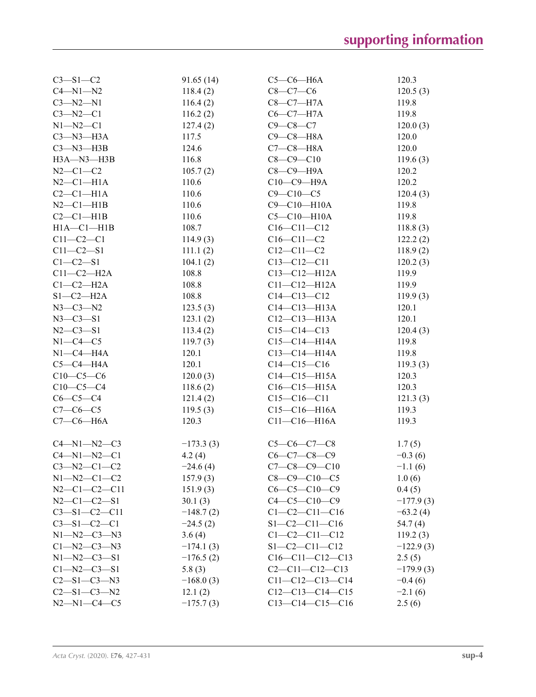| $C3 - S1 - C2$       | 91.65(14)   | $C5-C6-H6A$           | 120.3       |
|----------------------|-------------|-----------------------|-------------|
| $C4 - N1 - N2$       | 118.4(2)    | $C8-C7-C6$            | 120.5(3)    |
| $C3 - N2 - N1$       | 116.4(2)    | $C8-C7-H7A$           | 119.8       |
| $C3 - N2 - C1$       | 116.2(2)    | $C6-C7-H7A$           | 119.8       |
| $N1 - N2 - C1$       | 127.4(2)    | $C9 - C8 - C7$        | 120.0(3)    |
| $C3 - N3 - H3A$      | 117.5       | $C9 - C8 - H8A$       | 120.0       |
| $C3 - N3 - H3B$      | 124.6       | $C7-C8-H8A$           | 120.0       |
| H3A-N3-H3B           | 116.8       | $C8 - C9 - C10$       | 119.6(3)    |
| $N2 - C1 - C2$       | 105.7(2)    | С8-С9-Н9А             | 120.2       |
| $N2-C1-H1A$          | 110.6       | $C10-C9-$ H9A         | 120.2       |
| $C2-C1-H1A$          | 110.6       | $C9 - C10 - C5$       | 120.4(3)    |
| $N2-C1-H1B$          | 110.6       | $C9 - C10 - H10A$     | 119.8       |
| $C2-C1-H1B$          | 110.6       | $C5-C10-H10A$         | 119.8       |
| $H1A - C1 - H1B$     | 108.7       | $C16 - C11 - C12$     | 118.8(3)    |
| $C11 - C2 - C1$      | 114.9(3)    | $C16 - C11 - C2$      | 122.2(2)    |
| $C11 - C2 - S1$      | 111.1(2)    | $C12 - C11 - C2$      | 118.9(2)    |
| $C1 - C2 - S1$       | 104.1(2)    | $C13-C12-C11$         | 120.2(3)    |
| $C11-C2-H2A$         | 108.8       | $C13 - C12 - H12A$    | 119.9       |
| $C1-C2-H2A$          | 108.8       | $C11 - C12 - H12A$    | 119.9       |
| $S1-C2-H2A$          | 108.8       | $C14 - C13 - C12$     | 119.9(3)    |
| $N3 - C3 - N2$       | 123.5(3)    | $C14 - C13 - H13A$    | 120.1       |
| $N3 - C3 - S1$       | 123.1(2)    | $C12-C13-H13A$        | 120.1       |
| $N2 - C3 - S1$       | 113.4(2)    | $C15-C14-C13$         | 120.4(3)    |
| $N1-C4-C5$           | 119.7(3)    | $C15-C14-H14A$        | 119.8       |
| $N1-C4-H4A$          | 120.1       | $C13 - C14 - H14A$    | 119.8       |
| $C5-C4-H4A$          | 120.1       | $C14-C15-C16$         | 119.3(3)    |
| $C10-C5-C6$          | 120.0(3)    | $C14-C15-H15A$        | 120.3       |
| $C10-C5-C4$          | 118.6(2)    | $C16 - C15 - H15A$    | 120.3       |
| $C6-C5-C4$           | 121.4(2)    | $C15-C16-C11$         | 121.3(3)    |
| $C7-C6-C5$           | 119.5(3)    | $C15-C16-H16A$        | 119.3       |
| $C7-C6-H6A$          | 120.3       | $C11-C16-H16A$        | 119.3       |
| $C4 - N1 - N2 - C3$  | $-173.3(3)$ | $C5-C6-C7-C8$         | 1.7(5)      |
| $C4 - N1 - N2 - C1$  | 4.2(4)      | $C6 - C7 - C8 - C9$   | $-0.3(6)$   |
| $C3-M2-C1-C2$        | $-24.6(4)$  | $C7-C8-C9-C10$        | $-1.1(6)$   |
| $N1 - N2 - C1 - C2$  | 157.9(3)    | $C8-C9-C10-C5$        | 1.0(6)      |
| $N2-C1-C2-C11$       | 151.9(3)    | $C6-C5-C10-C9$        | 0.4(5)      |
| $N2-C1-C2-S1$        | 30.1(3)     | $C4 - C5 - C10 - C9$  | $-177.9(3)$ |
| $C3 - S1 - C2 - C11$ | $-148.7(2)$ | $C1-C2-C11-C16$       | $-63.2(4)$  |
| $C3 - S1 - C2 - C1$  | $-24.5(2)$  | $S1 - C2 - C11 - C16$ | 54.7 (4)    |
| $N1 - N2 - C3 - N3$  | 3.6(4)      | $C1 - C2 - C11 - C12$ | 119.2(3)    |
| $C1 - N2 - C3 - N3$  | $-174.1(3)$ | $S1 - C2 - C11 - C12$ | $-122.9(3)$ |
| $N1 - N2 - C3 - S1$  | $-176.5(2)$ | $C16-C11-C12-C13$     | 2.5(5)      |
| $C1 - N2 - C3 - S1$  | 5.8(3)      | $C2-C11-C12-C13$      | $-179.9(3)$ |
| $C2 - S1 - C3 - N3$  | $-168.0(3)$ | $C11-C12-C13-C14$     | $-0.4(6)$   |
| $C2 - S1 - C3 - N2$  | 12.1(2)     | $C12-C13-C14-C15$     | $-2.1(6)$   |
| $N2 - N1 - C4 - C5$  | $-175.7(3)$ | $C13-C14-C15-C16$     | 2.5(6)      |